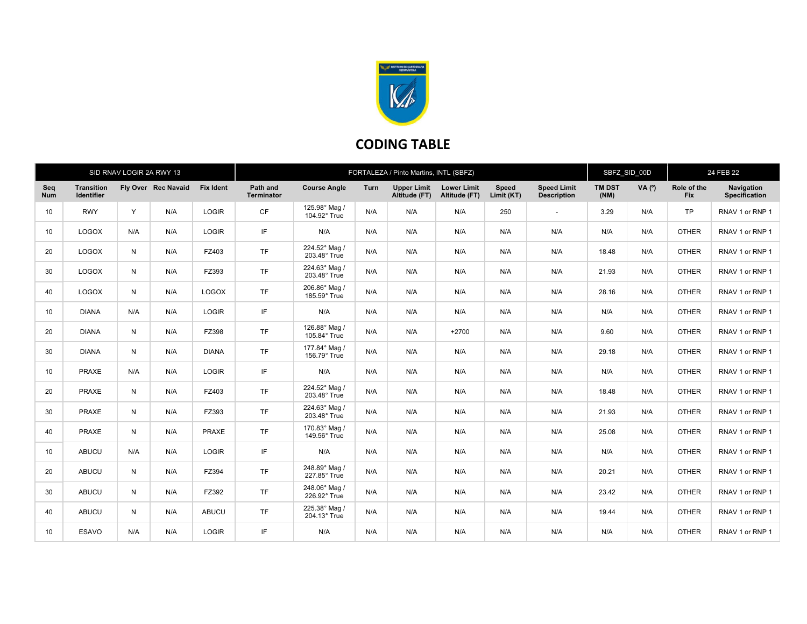

## CODING TABLE

| SID RNAV LOGIR 2A RWY 13 |                                        |     |                     |                  | FORTALEZA / Pinto Martins, INTL (SBFZ) |                               |      |                                     |                                     |                     | SBFZ SID 00D                             |                       | 24 FEB 22 |                    |                                    |
|--------------------------|----------------------------------------|-----|---------------------|------------------|----------------------------------------|-------------------------------|------|-------------------------------------|-------------------------------------|---------------------|------------------------------------------|-----------------------|-----------|--------------------|------------------------------------|
| Seq<br><b>Num</b>        | <b>Transition</b><br><b>Identifier</b> |     | Fly Over Rec Navaid | <b>Fix Ident</b> | Path and<br><b>Terminator</b>          | <b>Course Angle</b>           | Turn | <b>Upper Limit</b><br>Altitude (FT) | <b>Lower Limit</b><br>Altitude (FT) | Speed<br>Limit (KT) | <b>Speed Limit</b><br><b>Description</b> | <b>TM DST</b><br>(NM) | VA (°)    | Role of the<br>Fix | Navigation<br><b>Specification</b> |
| 10                       | <b>RWY</b>                             | Y   | N/A                 | <b>LOGIR</b>     | <b>CF</b>                              | 125.98° Mag /<br>104.92° True | N/A  | N/A                                 | N/A                                 | 250                 | $\sim$                                   | 3.29                  | N/A       | <b>TP</b>          | RNAV 1 or RNP 1                    |
| 10                       | <b>LOGOX</b>                           | N/A | N/A                 | LOGIR            | IF                                     | N/A                           | N/A  | N/A                                 | N/A                                 | N/A                 | N/A                                      | N/A                   | N/A       | <b>OTHER</b>       | RNAV 1 or RNP 1                    |
| 20                       | <b>LOGOX</b>                           | N   | N/A                 | FZ403            | <b>TF</b>                              | 224.52° Mag /<br>203.48° True | N/A  | N/A                                 | N/A                                 | N/A                 | N/A                                      | 18.48                 | N/A       | <b>OTHER</b>       | RNAV 1 or RNP 1                    |
| 30                       | <b>LOGOX</b>                           | N   | N/A                 | FZ393            | <b>TF</b>                              | 224.63° Mag /<br>203.48° True | N/A  | N/A                                 | N/A                                 | N/A                 | N/A                                      | 21.93                 | N/A       | <b>OTHER</b>       | RNAV 1 or RNP 1                    |
| 40                       | <b>LOGOX</b>                           | N   | N/A                 | <b>LOGOX</b>     | <b>TF</b>                              | 206.86° Mag /<br>185.59° True | N/A  | N/A                                 | N/A                                 | N/A                 | N/A                                      | 28.16                 | N/A       | <b>OTHER</b>       | RNAV 1 or RNP 1                    |
| 10                       | <b>DIANA</b>                           | N/A | N/A                 | LOGIR            | IF                                     | N/A                           | N/A  | N/A                                 | N/A                                 | N/A                 | N/A                                      | N/A                   | N/A       | <b>OTHER</b>       | RNAV 1 or RNP 1                    |
| 20                       | <b>DIANA</b>                           | N   | N/A                 | FZ398            | <b>TF</b>                              | 126.88° Mag /<br>105.84° True | N/A  | N/A                                 | $+2700$                             | N/A                 | N/A                                      | 9.60                  | N/A       | <b>OTHER</b>       | RNAV 1 or RNP 1                    |
| 30                       | <b>DIANA</b>                           | N   | N/A                 | <b>DIANA</b>     | <b>TF</b>                              | 177.84° Mag /<br>156.79° True | N/A  | N/A                                 | N/A                                 | N/A                 | N/A                                      | 29.18                 | N/A       | <b>OTHER</b>       | RNAV 1 or RNP 1                    |
| 10                       | <b>PRAXE</b>                           | N/A | N/A                 | <b>LOGIR</b>     | IF                                     | N/A                           | N/A  | N/A                                 | N/A                                 | N/A                 | N/A                                      | N/A                   | N/A       | <b>OTHER</b>       | RNAV 1 or RNP 1                    |
| 20                       | PRAXE                                  | N   | N/A                 | FZ403            | <b>TF</b>                              | 224.52° Mag /<br>203.48° True | N/A  | N/A                                 | N/A                                 | N/A                 | N/A                                      | 18.48                 | N/A       | <b>OTHER</b>       | RNAV 1 or RNP 1                    |
| 30                       | PRAXE                                  | N   | N/A                 | FZ393            | <b>TF</b>                              | 224.63° Mag /<br>203.48° True | N/A  | N/A                                 | N/A                                 | N/A                 | N/A                                      | 21.93                 | N/A       | <b>OTHER</b>       | RNAV 1 or RNP 1                    |
| 40                       | PRAXE                                  | N   | N/A                 | <b>PRAXE</b>     | <b>TF</b>                              | 170.83° Mag /<br>149.56° True | N/A  | N/A                                 | N/A                                 | N/A                 | N/A                                      | 25.08                 | N/A       | <b>OTHER</b>       | RNAV 1 or RNP 1                    |
| 10                       | <b>ABUCU</b>                           | N/A | N/A                 | LOGIR            | IF                                     | N/A                           | N/A  | N/A                                 | N/A                                 | N/A                 | N/A                                      | N/A                   | N/A       | <b>OTHER</b>       | RNAV 1 or RNP 1                    |
| 20                       | <b>ABUCU</b>                           | N   | N/A                 | FZ394            | <b>TF</b>                              | 248.89° Mag /<br>227.85° True | N/A  | N/A                                 | N/A                                 | N/A                 | N/A                                      | 20.21                 | N/A       | <b>OTHER</b>       | RNAV 1 or RNP 1                    |
| 30                       | <b>ABUCU</b>                           | N   | N/A                 | FZ392            | TF                                     | 248.06° Mag /<br>226.92° True | N/A  | N/A                                 | N/A                                 | N/A                 | N/A                                      | 23.42                 | N/A       | <b>OTHER</b>       | RNAV 1 or RNP 1                    |
| 40                       | <b>ABUCU</b>                           | N   | N/A                 | <b>ABUCU</b>     | TF                                     | 225.38° Mag /<br>204.13° True | N/A  | N/A                                 | N/A                                 | N/A                 | N/A                                      | 19.44                 | N/A       | <b>OTHER</b>       | RNAV 1 or RNP 1                    |
| 10                       | <b>ESAVO</b>                           | N/A | N/A                 | <b>LOGIR</b>     | IF                                     | N/A                           | N/A  | N/A                                 | N/A                                 | N/A                 | N/A                                      | N/A                   | N/A       | <b>OTHER</b>       | RNAV 1 or RNP 1                    |